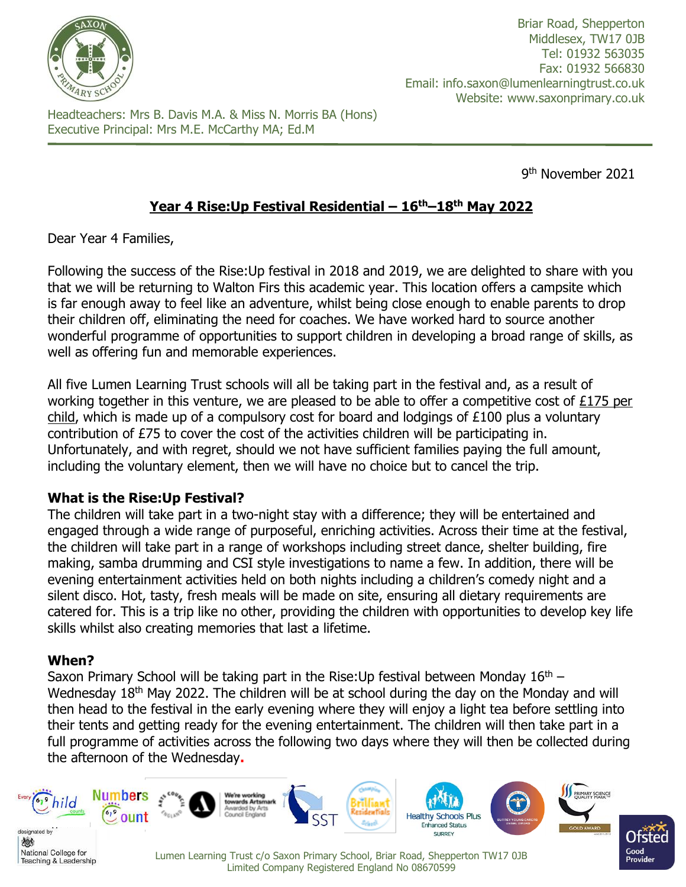

Briar Road, Shepperton Middlesex, TW17 0JB Tel: 01932 563035 Fax: 01932 566830 Email: info.saxon@lumenlearningtrust.co.uk Website: www.saxonprimary.co.uk

Headteachers: Mrs B. Davis M.A. & Miss N. Morris BA (Hons) Executive Principal: Mrs M.E. McCarthy MA; Ed.M

9 th November 2021

# **Year 4 Rise:Up Festival Residential – 16th–18th May 2022**

Dear Year 4 Families,

Following the success of the Rise:Up festival in 2018 and 2019, we are delighted to share with you that we will be returning to Walton Firs this academic year. This location offers a campsite which is far enough away to feel like an adventure, whilst being close enough to enable parents to drop their children off, eliminating the need for coaches. We have worked hard to source another wonderful programme of opportunities to support children in developing a broad range of skills, as well as offering fun and memorable experiences.

All five Lumen Learning Trust schools will all be taking part in the festival and, as a result of working together in this venture, we are pleased to be able to offer a competitive cost of £175 per child, which is made up of a compulsory cost for board and lodgings of £100 plus a voluntary contribution of £75 to cover the cost of the activities children will be participating in. Unfortunately, and with regret, should we not have sufficient families paying the full amount, including the voluntary element, then we will have no choice but to cancel the trip.

#### **What is the Rise:Up Festival?**

The children will take part in a two-night stay with a difference; they will be entertained and engaged through a wide range of purposeful, enriching activities. Across their time at the festival, the children will take part in a range of workshops including street dance, shelter building, fire making, samba drumming and CSI style investigations to name a few. In addition, there will be evening entertainment activities held on both nights including a children's comedy night and a silent disco. Hot, tasty, fresh meals will be made on site, ensuring all dietary requirements are catered for. This is a trip like no other, providing the children with opportunities to develop key life skills whilst also creating memories that last a lifetime.

## **When?**

Saxon Primary School will be taking part in the Rise: Up festival between Monday  $16<sup>th</sup>$  – Wednesday 18<sup>th</sup> May 2022. The children will be at school during the day on the Monday and will then head to the festival in the early evening where they will enjoy a light tea before settling into their tents and getting ready for the evening entertainment. The children will then take part in a full programme of activities across the following two days where they will then be collected during the afternoon of the Wednesday**.**